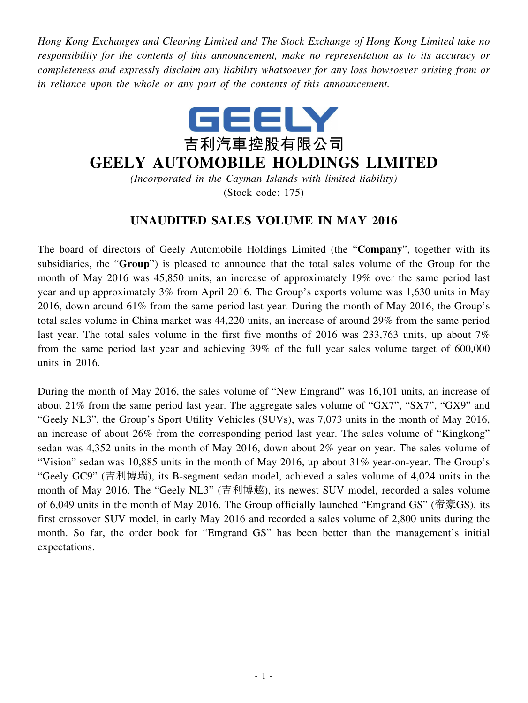*Hong Kong Exchanges and Clearing Limited and The Stock Exchange of Hong Kong Limited take no responsibility for the contents of this announcement, make no representation as to its accuracy or completeness and expressly disclaim any liability whatsoever for any loss howsoever arising from or in reliance upon the whole or any part of the contents of this announcement.*



## **GEELY AUTOMOBILE HOLDINGS LIMITED**

*(Incorporated in the Cayman Islands with limited liability)* (Stock code: 175)

## **UNAUDITED SALES VOLUME IN MAY 2016**

The board of directors of Geely Automobile Holdings Limited (the "**Company**", together with its subsidiaries, the "**Group**") is pleased to announce that the total sales volume of the Group for the month of May 2016 was 45,850 units, an increase of approximately 19% over the same period last year and up approximately 3% from April 2016. The Group's exports volume was 1,630 units in May 2016, down around 61% from the same period last year. During the month of May 2016, the Group's total sales volume in China market was 44,220 units, an increase of around 29% from the same period last year. The total sales volume in the first five months of 2016 was 233,763 units, up about 7% from the same period last year and achieving 39% of the full year sales volume target of 600,000 units in 2016.

During the month of May 2016, the sales volume of "New Emgrand" was 16,101 units, an increase of about 21% from the same period last year. The aggregate sales volume of "GX7", "SX7", "GX9" and "Geely NL3", the Group's Sport Utility Vehicles (SUVs), was 7,073 units in the month of May 2016, an increase of about 26% from the corresponding period last year. The sales volume of "Kingkong" sedan was 4,352 units in the month of May 2016, down about 2% year-on-year. The sales volume of "Vision" sedan was 10,885 units in the month of May 2016, up about 31% year-on-year. The Group's "Geely GC9" (吉利博瑞), its B-segment sedan model, achieved a sales volume of 4,024 units in the month of May 2016. The "Geely NL3" (吉利博越), its newest SUV model, recorded a sales volume of 6,049 units in the month of May 2016. The Group officially launched "Emgrand GS" (帝豪GS), its first crossover SUV model, in early May 2016 and recorded a sales volume of 2,800 units during the month. So far, the order book for "Emgrand GS" has been better than the management's initial expectations.